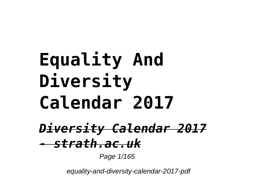# **Equality And Diversity Calendar 2017** *Diversity Calendar 2017 - strath.ac.uk*

Page 1/165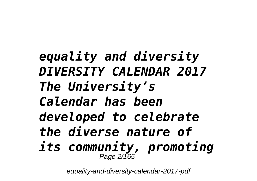*equality and diversity DIVERSITY CALENDAR 2017 The University's Calendar has been developed to celebrate the diverse nature of its community, promoting* Page 2/165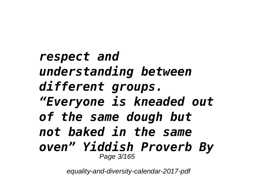### *respect and understanding between different groups. "Everyone is kneaded out of the same dough but not baked in the same oven" Yiddish Proverb By* Page 3/165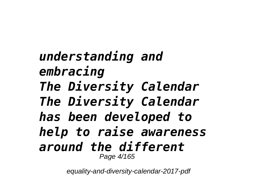### *understanding and embracing The Diversity Calendar The Diversity Calendar has been developed to help to raise awareness around the different* Page 4/165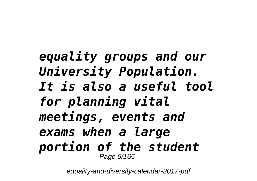### *equality groups and our University Population. It is also a useful tool for planning vital meetings, events and exams when a large portion of the student* Page 5/165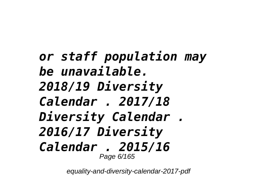### *or staff population may be unavailable. 2018/19 Diversity Calendar . 2017/18 Diversity Calendar . 2016/17 Diversity Calendar . 2015/16* Page 6/165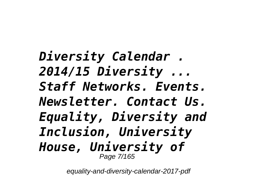*Diversity Calendar . 2014/15 Diversity ... Staff Networks. Events. Newsletter. Contact Us. Equality, Diversity and Inclusion, University House, University of* Page 7/165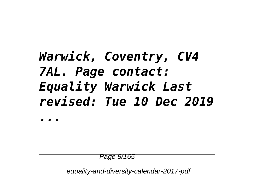# *Warwick, Coventry, CV4 7AL. Page contact: Equality Warwick Last revised: Tue 10 Dec 2019*

*...*

Page 8/165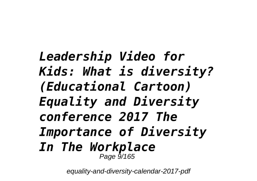*Leadership Video for Kids: What is diversity? (Educational Cartoon) Equality and Diversity conference 2017 The Importance of Diversity In The Workplace*  Page 9/165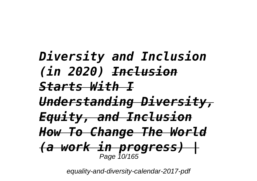*Diversity and Inclusion (in 2020) Inclusion Starts With I Understanding Diversity, Equity, and Inclusion How To Change The World (a work in progress) |* Page 10/165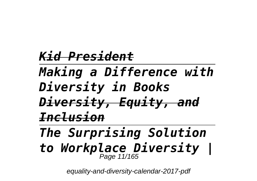# *Kid President Making a Difference with Diversity in Books Diversity, Equity, and Inclusion The Surprising Solution*

# *to Workplace Diversity |* Page 11/165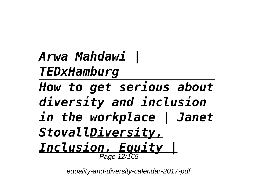*Arwa Mahdawi | TEDxHamburg*

*How to get serious about diversity and inclusion in the workplace | Janet StovallDiversity, Inclusion, Equity |* Page 12/165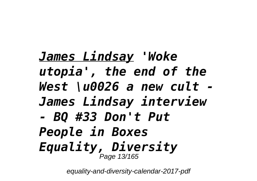*James Lindsay 'Woke utopia', the end of the West \u0026 a new cult - James Lindsay interview - BQ #33 Don't Put People in Boxes Equality, Diversity* Page 13/165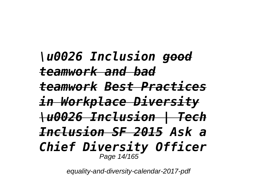*\u0026 Inclusion good teamwork and bad teamwork Best Practices in Workplace Diversity \u0026 Inclusion | Tech Inclusion SF 2015 Ask a Chief Diversity Officer*  Page 14/165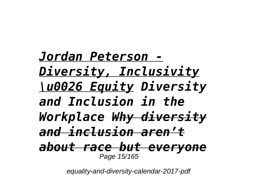*Jordan Peterson - Diversity, Inclusivity \u0026 Equity Diversity and Inclusion in the Workplace Why diversity and inclusion aren't about race but everyone* Page 15/165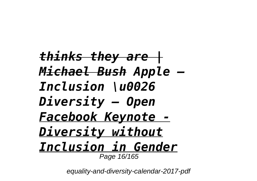*thinks they are | Michael Bush Apple — Inclusion \u0026 Diversity — Open Facebook Keynote - Diversity without Inclusion in Gender* Page 16/165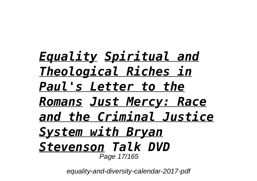*Equality Spiritual and Theological Riches in Paul's Letter to the Romans Just Mercy: Race and the Criminal Justice System with Bryan Stevenson Talk DVD*  Page 17/165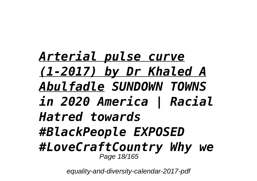*Arterial pulse curve (1-2017) by Dr Khaled A Abulfadle SUNDOWN TOWNS in 2020 America | Racial Hatred towards #BlackPeople EXPOSED #LoveCraftCountry Why we* Page 18/165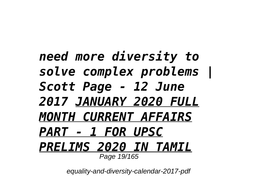### *need more diversity to solve complex problems | Scott Page - 12 June 2017 JANUARY 2020 FULL MONTH CURRENT AFFAIRS PART - 1 FOR UPSC PRELIMS 2020 IN TAMIL* Page 19/165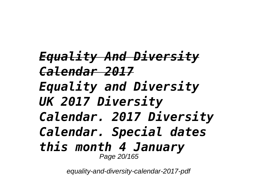*Equality And Diversity Calendar 2017 Equality and Diversity UK 2017 Diversity Calendar. 2017 Diversity Calendar. Special dates this month 4 January* Page 20/165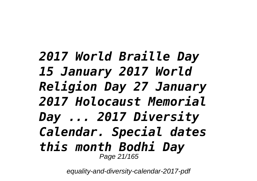### *2017 World Braille Day 15 January 2017 World Religion Day 27 January 2017 Holocaust Memorial Day ... 2017 Diversity Calendar. Special dates this month Bodhi Day* Page 21/165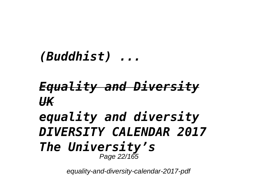#### *(Buddhist) ...*

### *Equality and Diversity UK*

#### *equality and diversity DIVERSITY CALENDAR 2017 The University's* Page 22/165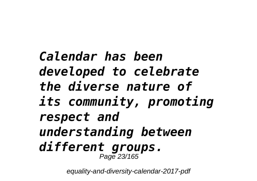### *Calendar has been developed to celebrate the diverse nature of its community, promoting respect and understanding between different groups.* Page 23/165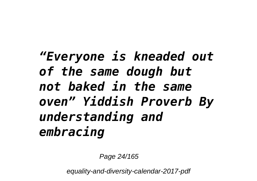*"Everyone is kneaded out of the same dough but not baked in the same oven" Yiddish Proverb By understanding and embracing*

Page 24/165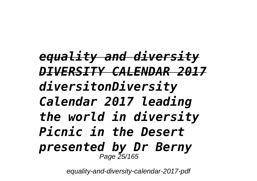*equality and diversity DIVERSITY CALENDAR 2017 diversitonDiversity Calendar 2017 leading the world in diversity Picnic in the Desert presented by Dr Berny* Page 25/165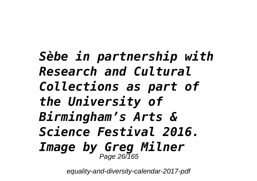*Sèbe in partnership with Research and Cultural Collections as part of the University of Birmingham's Arts & Science Festival 2016. Image by Greg Milner* Page 26/165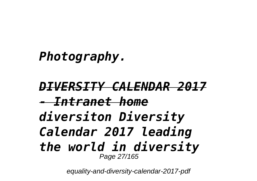*Photography.*

*DIVERSITY CALENDAR 2017 - Intranet home diversiton Diversity Calendar 2017 leading the world in diversity* Page 27/165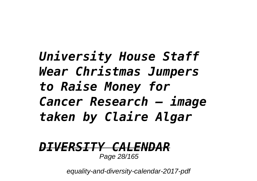# *University House Staff Wear Christmas Jumpers to Raise Money for Cancer Research – image taken by Claire Algar*

#### *DIVERSITY CALEN* Page 28/165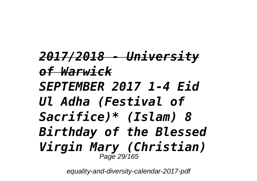*2017/2018 - University of Warwick SEPTEMBER 2017 1-4 Eid Ul Adha (Festival of Sacrifice)\* (Islam) 8 Birthday of the Blessed Virgin Mary (Christian)* Page 29/165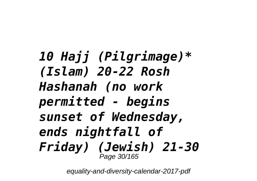*10 Hajj (Pilgrimage)\* (Islam) 20-22 Rosh Hashanah (no work permitted - begins sunset of Wednesday, ends nightfall of Friday) (Jewish) 21-30* Page 30/165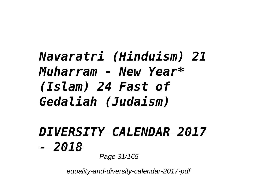# *Navaratri (Hinduism) 21 Muharram - New Year\* (Islam) 24 Fast of Gedaliah (Judaism)*

# *DIVERSITY CALENDAR 2017 - 2018*

Page 31/165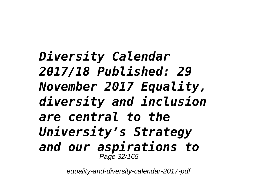*Diversity Calendar 2017/18 Published: 29 November 2017 Equality, diversity and inclusion are central to the University's Strategy and our aspirations to* Page 32/165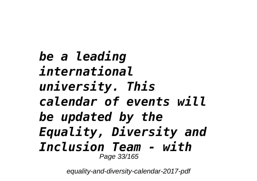*be a leading international university. This calendar of events will be updated by the Equality, Diversity and Inclusion Team - with* Page 33/165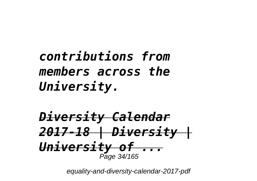# *contributions from members across the University.*

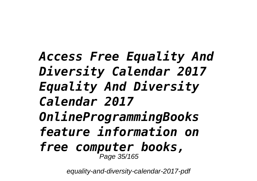*Access Free Equality And Diversity Calendar 2017 Equality And Diversity Calendar 2017 OnlineProgrammingBooks feature information on free computer books,* Page 35/165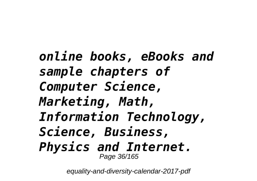*online books, eBooks and sample chapters of Computer Science, Marketing, Math, Information Technology, Science, Business, Physics and Internet.* Page 36/165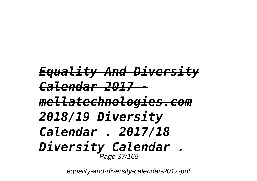### *Equality And Diversity Calendar 2017 mellatechnologies.com 2018/19 Diversity Calendar . 2017/18 Diversity Calendar .* Page 37/165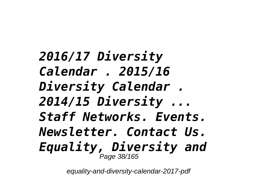*2016/17 Diversity Calendar . 2015/16 Diversity Calendar . 2014/15 Diversity ... Staff Networks. Events. Newsletter. Contact Us. Equality, Diversity and* Page 38/165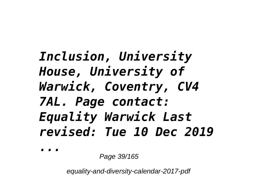# *Inclusion, University House, University of Warwick, Coventry, CV4 7AL. Page contact: Equality Warwick Last revised: Tue 10 Dec 2019*

*...*

Page 39/165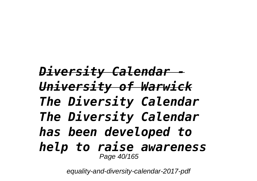#### *Diversity Calendar - University of Warwick The Diversity Calendar The Diversity Calendar has been developed to help to raise awareness* Page 40/165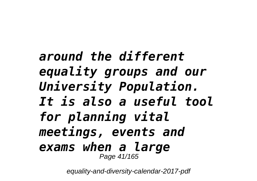### *around the different equality groups and our University Population. It is also a useful tool for planning vital meetings, events and exams when a large* Page 41/165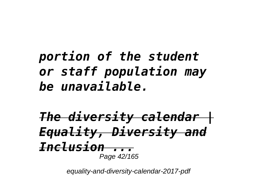# *portion of the student or staff population may be unavailable.*

*The diversity calendar | Equality, Diversity and Inclusion ...* Page 42/165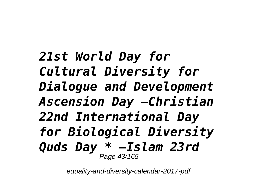*21st World Day for Cultural Diversity for Dialogue and Development Ascension Day –Christian 22nd International Day for Biological Diversity Quds Day \* –Islam 23rd* Page 43/165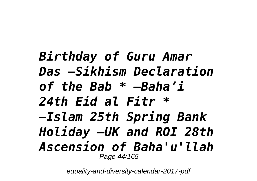### *Birthday of Guru Amar Das –Sikhism Declaration of the Bab \* –Baha'i 24th Eid al Fitr \* –Islam 25th Spring Bank Holiday –UK and ROI 28th Ascension of Baha'u'llah* Page 44/165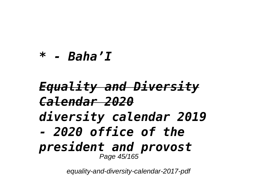#### *\* - Baha'I*

#### *Equality and Diversity Calendar 2020 diversity calendar 2019 - 2020 office of the president and provost* Page 45/165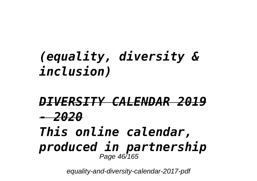# *(equality, diversity & inclusion)*

#### *DIVERSITY CALENDAR 2019 - 2020 This online calendar, produced in partnership* Page 46/165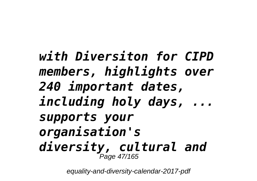*with Diversiton for CIPD members, highlights over 240 important dates, including holy days, ... supports your organisation's diversity, cultural and* Page 47/165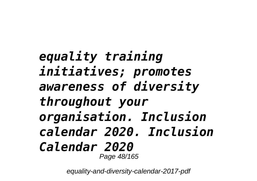```
equality training
initiatives; promotes
awareness of diversity
throughout your
organisation. Inclusion
calendar 2020. Inclusion
Calendar 2020
         Page 48/165
```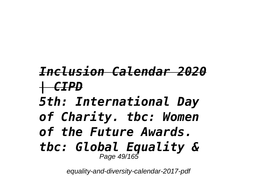# *Inclusion Calendar 2020 | CIPD*

- *5th: International Day*
- *of Charity. tbc: Women*
- *of the Future Awards.*
- *tbc: Global Equality &* Page 49/165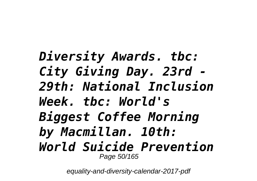*Diversity Awards. tbc: City Giving Day. 23rd - 29th: National Inclusion Week. tbc: World's Biggest Coffee Morning by Macmillan. 10th: World Suicide Prevention* Page 50/165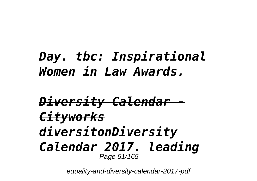# *Day. tbc: Inspirational Women in Law Awards.*

#### *Diversity Calendar - Cityworks diversitonDiversity Calendar 2017. leading* Page 51/165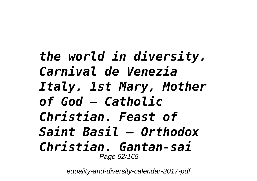*the world in diversity. Carnival de Venezia Italy. 1st Mary, Mother of God – Catholic Christian. Feast of Saint Basil – Orthodox Christian. Gantan-sai* Page 52/165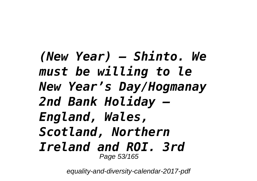*(New Year) – Shinto. We must be willing to le New Year's Day/Hogmanay 2nd Bank Holiday – England, Wales, Scotland, Northern Ireland and ROI. 3rd* Page 53/165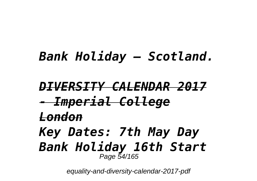# *Bank Holiday – Scotland.*

#### *DIVERSITY CALENDAR 2017 - Imperial College London Key Dates: 7th May Day Bank Holiday 16th Start* Page 54/165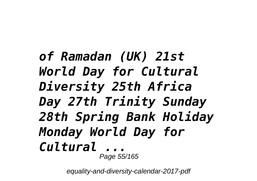### *of Ramadan (UK) 21st World Day for Cultural Diversity 25th Africa Day 27th Trinity Sunday 28th Spring Bank Holiday Monday World Day for Cultural ...* Page 55/165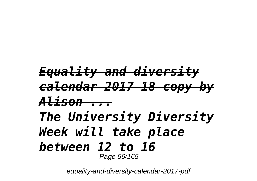### *Equality and diversity calendar 2017 18 copy by Alison ... The University Diversity Week will take place between 12 to 16* Page 56/165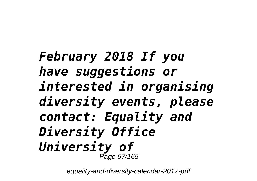### *February 2018 If you have suggestions or interested in organising diversity events, please contact: Equality and Diversity Office University of* Page 57/165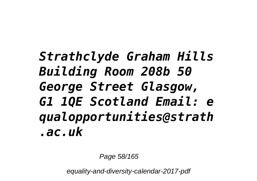# *Strathclyde Graham Hills Building Room 208b 50 George Street Glasgow, G1 1QE Scotland Email: e qualopportunities@strath .ac.uk*

Page 58/165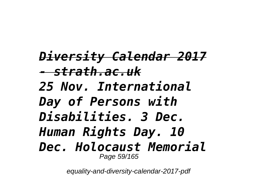*Diversity Calendar 2017 - strath.ac.uk 25 Nov. International Day of Persons with Disabilities. 3 Dec. Human Rights Day. 10 Dec. Holocaust Memorial* Page 59/165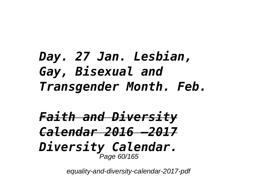# *Day. 27 Jan. Lesbian, Gay, Bisexual and Transgender Month. Feb.*

*Faith and Diversity Calendar 2016 –2017 Diversity Calendar.* Page 60/165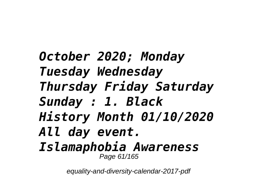*October 2020; Monday Tuesday Wednesday Thursday Friday Saturday Sunday : 1. Black History Month 01/10/2020 All day event. Islamaphobia Awareness* Page 61/165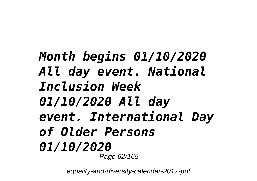### *Month begins 01/10/2020 All day event. National Inclusion Week 01/10/2020 All day event. International Day of Older Persons 01/10/2020* Page 62/165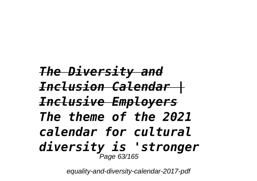*The Diversity and Inclusion Calendar | Inclusive Employers The theme of the 2021 calendar for cultural diversity is 'stronger* Page 63/165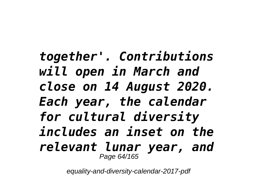*together'. Contributions will open in March and close on 14 August 2020. Each year, the calendar for cultural diversity includes an inset on the relevant lunar year, and* Page 64/165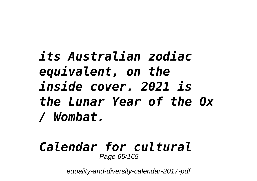# *its Australian zodiac equivalent, on the inside cover. 2021 is the Lunar Year of the Ox / Wombat.*

#### *Calendar for cultural* Page 65/165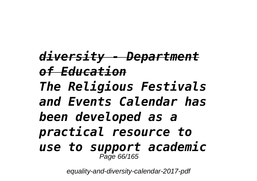*diversity - Department of Education The Religious Festivals and Events Calendar has been developed as a practical resource to use to support academic* Page 66/165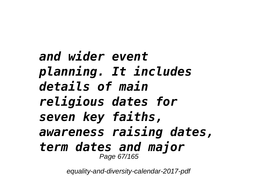*and wider event planning. It includes details of main religious dates for seven key faiths, awareness raising dates, term dates and major* Page 67/165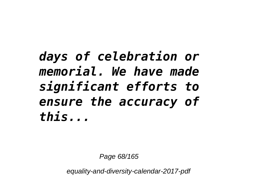# *days of celebration or memorial. We have made significant efforts to ensure the accuracy of this...*

Page 68/165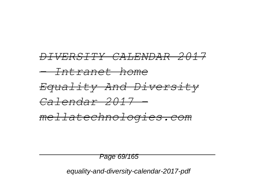

Page 69/165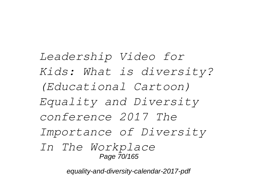*Leadership Video for Kids: What is diversity? (Educational Cartoon) Equality and Diversity conference 2017 The Importance of Diversity In The Workplace*  Page 70/165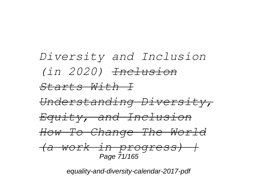#### *Diversity and Inclusion (in 2020) Inclusion Starts With I Understanding Diversity, Equity, and Inclusion How To Change The World (a work in progress) |* Page 71/165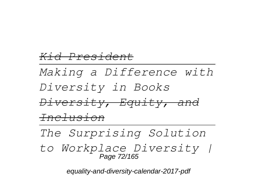#### *Kid President*

*Making a Difference with Diversity in Books Diversity, Equity, and Inclusion*

*The Surprising Solution*

*to Workplace Diversity |* Page 72/165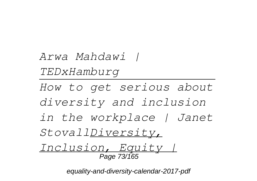*Arwa Mahdawi | TEDxHamburg How to get serious about diversity and inclusion in the workplace | Janet*

*StovallDiversity,*

*Inclusion, Equity |* Page 73/165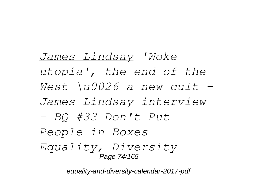*James Lindsay 'Woke utopia', the end of the West \u0026 a new cult - James Lindsay interview - BQ #33 Don't Put People in Boxes Equality, Diversity* Page 74/165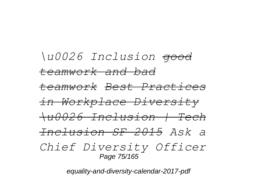*\u0026 Inclusion good teamwork and bad teamwork Best Practices in Workplace Diversity \u0026 Inclusion | Tech Inclusion SF 2015 Ask a Chief Diversity Officer*  Page 75/165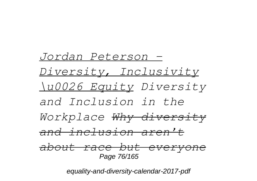*Jordan Peterson - Diversity, Inclusivity \u0026 Equity Diversity and Inclusion in the Workplace Why diversity and inclusion aren't about race but everyone* Page 76/165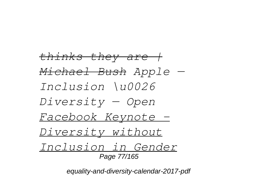*thinks they are | Michael Bush Apple — Inclusion \u0026 Diversity — Open Facebook Keynote - Diversity without Inclusion in Gender* Page 77/165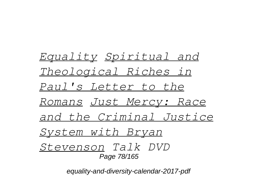*Equality Spiritual and Theological Riches in Paul's Letter to the Romans Just Mercy: Race and the Criminal Justice System with Bryan Stevenson Talk DVD*  Page 78/165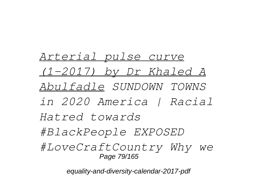*Arterial pulse curve (1-2017) by Dr Khaled A Abulfadle SUNDOWN TOWNS in 2020 America | Racial Hatred towards #BlackPeople EXPOSED #LoveCraftCountry Why we* Page 79/165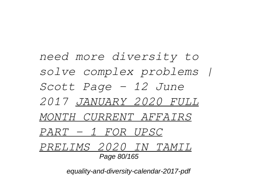*need more diversity to solve complex problems | Scott Page - 12 June 2017 JANUARY 2020 FULL MONTH CURRENT AFFAIRS PART - 1 FOR UPSC PRELIMS 2020 IN TAMIL* Page 80/165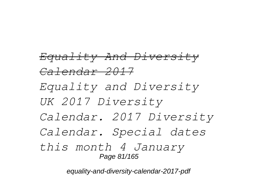*Equality And Diversity Calendar 2017 Equality and Diversity UK 2017 Diversity Calendar. 2017 Diversity Calendar. Special dates this month 4 January* Page 81/165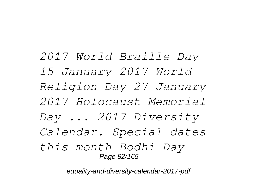*2017 World Braille Day 15 January 2017 World Religion Day 27 January 2017 Holocaust Memorial Day ... 2017 Diversity Calendar. Special dates this month Bodhi Day* Page 82/165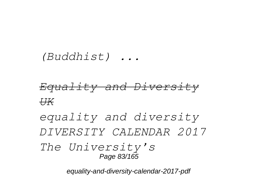#### *(Buddhist) ...*

# *Equality and Diversity UK*

*equality and diversity DIVERSITY CALENDAR 2017 The University's* Page 83/165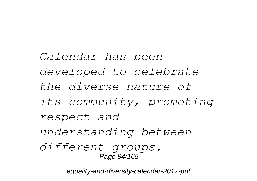*Calendar has been developed to celebrate the diverse nature of its community, promoting respect and understanding between different groups.* Page 84/165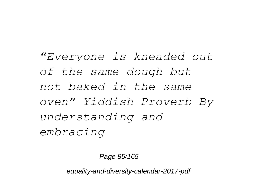*"Everyone is kneaded out of the same dough but not baked in the same oven" Yiddish Proverb By understanding and embracing*

Page 85/165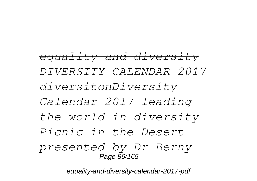*equality and diversity DIVERSITY CALENDAR 2017 diversitonDiversity Calendar 2017 leading the world in diversity Picnic in the Desert presented by Dr Berny* Page 86/165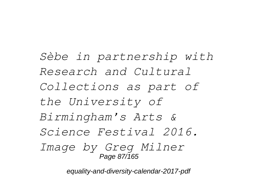*Sèbe in partnership with Research and Cultural Collections as part of the University of Birmingham's Arts & Science Festival 2016. Image by Greg Milner* Page 87/165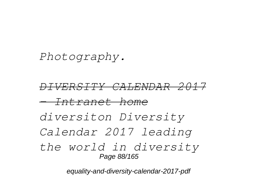### *Photography.*

*DIVERSITY CALENDAR 2017 - Intranet home diversiton Diversity Calendar 2017 leading the world in diversity* Page 88/165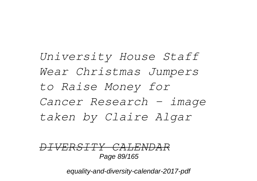*University House Staff Wear Christmas Jumpers to Raise Money for Cancer Research – image taken by Claire Algar*

*DIVERSITY CALENDAR* Page 89/165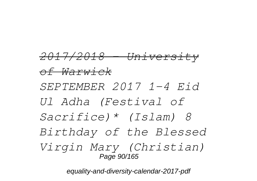*2017/2018 - University of Warwick SEPTEMBER 2017 1-4 Eid Ul Adha (Festival of Sacrifice)\* (Islam) 8 Birthday of the Blessed Virgin Mary (Christian)* Page 90/165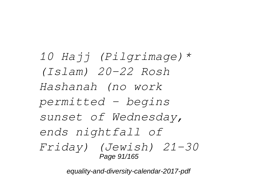*10 Hajj (Pilgrimage)\* (Islam) 20-22 Rosh Hashanah (no work permitted - begins sunset of Wednesday, ends nightfall of Friday) (Jewish) 21-30* Page 91/165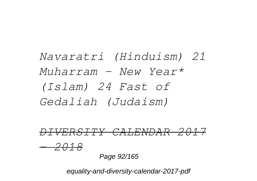*Navaratri (Hinduism) 21 Muharram - New Year\* (Islam) 24 Fast of Gedaliah (Judaism)*

*DIVERSITY CALENDAR 2017 - 2018* Page 92/165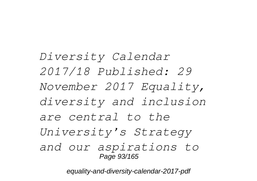*Diversity Calendar 2017/18 Published: 29 November 2017 Equality, diversity and inclusion are central to the University's Strategy and our aspirations to* Page 93/165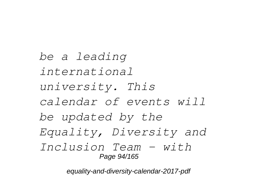*be a leading international university. This calendar of events will be updated by the Equality, Diversity and Inclusion Team - with* Page 94/165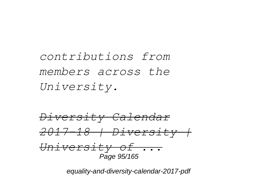*contributions from members across the University.*

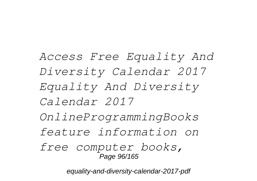*Access Free Equality And Diversity Calendar 2017 Equality And Diversity Calendar 2017 OnlineProgrammingBooks feature information on free computer books,* Page 96/165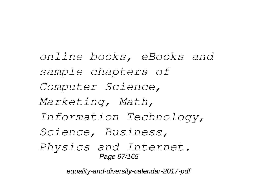*online books, eBooks and sample chapters of Computer Science, Marketing, Math, Information Technology, Science, Business, Physics and Internet.* Page 97/165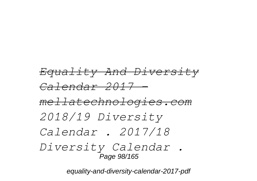# *Equality And Diversity Calendar 2017 mellatechnologies.com 2018/19 Diversity Calendar . 2017/18 Diversity Calendar .* Page 98/165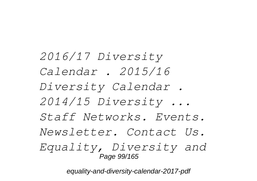*2016/17 Diversity Calendar . 2015/16 Diversity Calendar . 2014/15 Diversity ... Staff Networks. Events. Newsletter. Contact Us. Equality, Diversity and* Page 99/165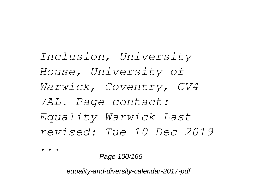*Inclusion, University House, University of Warwick, Coventry, CV4 7AL. Page contact: Equality Warwick Last revised: Tue 10 Dec 2019*

*...*

Page 100/165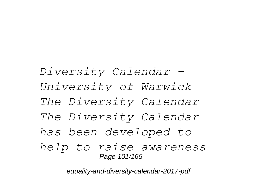# *Diversity Calendar - University of Warwick The Diversity Calendar The Diversity Calendar has been developed to help to raise awareness* Page 101/165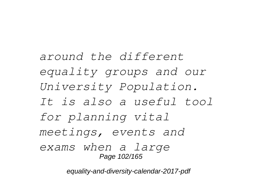*around the different equality groups and our University Population. It is also a useful tool for planning vital meetings, events and exams when a large* Page 102/165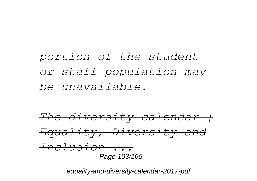# *portion of the student or staff population may be unavailable.*

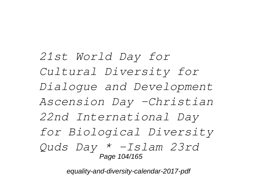*21st World Day for Cultural Diversity for Dialogue and Development Ascension Day –Christian 22nd International Day for Biological Diversity Quds Day \* –Islam 23rd* Page 104/165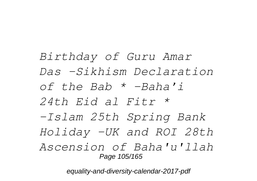*Birthday of Guru Amar Das –Sikhism Declaration of the Bab \* –Baha'i 24th Eid al Fitr \* –Islam 25th Spring Bank Holiday –UK and ROI 28th Ascension of Baha'u'llah* Page 105/165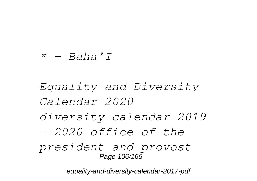#### *\* - Baha'I*

# *Equality and Diversity Calendar 2020 diversity calendar 2019 - 2020 office of the president and provost* Page 106/165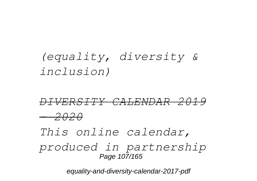# *(equality, diversity & inclusion)*

# *DIVERSITY CALENDAR 2019 - 2020 This online calendar,*

*produced in partnership* Page 107/165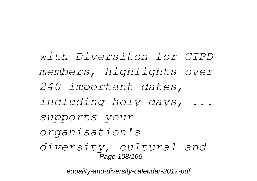*with Diversiton for CIPD members, highlights over 240 important dates, including holy days, ... supports your organisation's diversity, cultural and* Page 108/165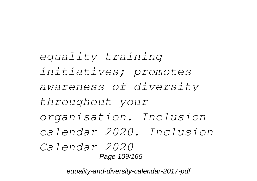*equality training initiatives; promotes awareness of diversity throughout your organisation. Inclusion calendar 2020. Inclusion Calendar 2020* Page 109/165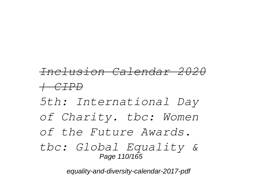# *Inclusion Calendar 2020*

#### *| CIPD*

- *5th: International Day*
- *of Charity. tbc: Women*
- *of the Future Awards.*
- *tbc: Global Equality &* Page 110/165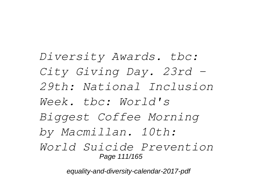*Diversity Awards. tbc: City Giving Day. 23rd - 29th: National Inclusion Week. tbc: World's Biggest Coffee Morning by Macmillan. 10th: World Suicide Prevention* Page 111/165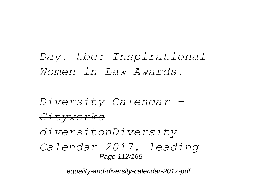*Day. tbc: Inspirational Women in Law Awards.*

*Diversity Calendar - Cityworks diversitonDiversity Calendar 2017. leading* Page 112/165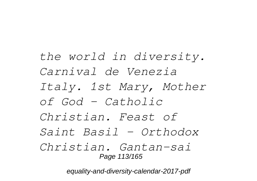*the world in diversity. Carnival de Venezia Italy. 1st Mary, Mother of God – Catholic Christian. Feast of Saint Basil – Orthodox Christian. Gantan-sai* Page 113/165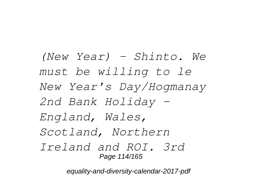*(New Year) – Shinto. We must be willing to le New Year's Day/Hogmanay 2nd Bank Holiday – England, Wales, Scotland, Northern Ireland and ROI. 3rd* Page 114/165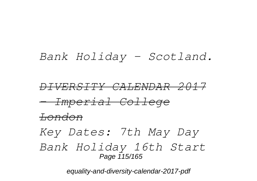#### *Bank Holiday – Scotland.*

*DIVERSITY CALENDAR 2017 - Imperial College London Key Dates: 7th May Day Bank Holiday 16th Start* Page  $115/165$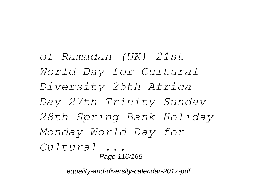*of Ramadan (UK) 21st World Day for Cultural Diversity 25th Africa Day 27th Trinity Sunday 28th Spring Bank Holiday Monday World Day for Cultural ...* Page 116/165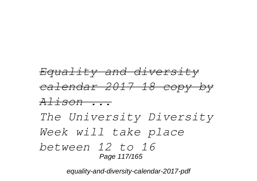## *Equality and diversity calendar 2017 18 copy by Alison ... The University Diversity Week will take place between 12 to 16* Page 117/165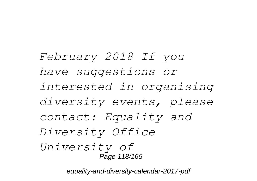*February 2018 If you have suggestions or interested in organising diversity events, please contact: Equality and Diversity Office University of* Page 118/165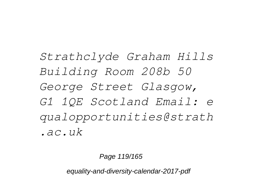*Strathclyde Graham Hills Building Room 208b 50 George Street Glasgow, G1 1QE Scotland Email: e qualopportunities@strath .ac.uk*

Page 119/165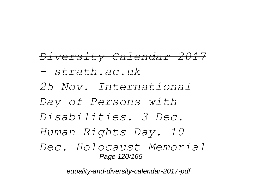*Diversity Calendar 2017 - strath.ac.uk 25 Nov. International Day of Persons with Disabilities. 3 Dec. Human Rights Day. 10 Dec. Holocaust Memorial* Page 120/165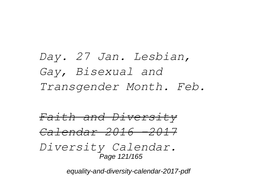## *Day. 27 Jan. Lesbian, Gay, Bisexual and Transgender Month. Feb.*

*Faith and Diversity Calendar 2016 –2017 Diversity Calendar.* Page 121/165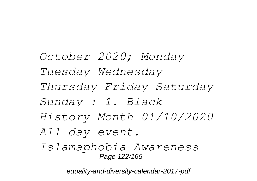*October 2020; Monday Tuesday Wednesday Thursday Friday Saturday Sunday : 1. Black History Month 01/10/2020 All day event. Islamaphobia Awareness*

equality-and-diversity-calendar-2017-pdf

Page 122/165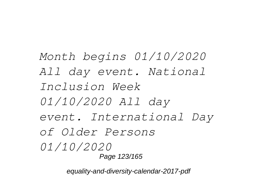*Month begins 01/10/2020 All day event. National Inclusion Week 01/10/2020 All day event. International Day of Older Persons 01/10/2020* Page 123/165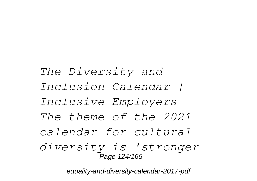*The Diversity and Inclusion Calendar | Inclusive Employers The theme of the 2021 calendar for cultural diversity is 'stronger* Page 124/165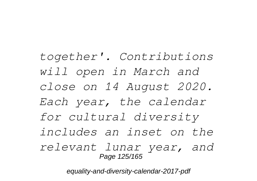*together'. Contributions will open in March and close on 14 August 2020. Each year, the calendar for cultural diversity includes an inset on the relevant lunar year, and* Page 125/165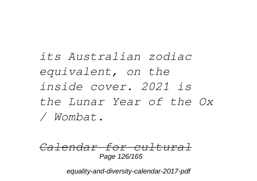*its Australian zodiac equivalent, on the inside cover. 2021 is the Lunar Year of the Ox / Wombat.*

*Calendar for cultural* Page 126/165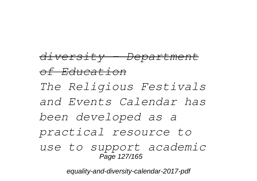## *diversity - Department of Education The Religious Festivals and Events Calendar has been developed as a practical resource to use to support academic* Page 127/165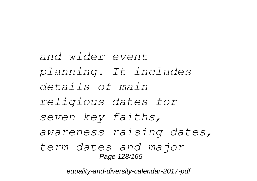*and wider event planning. It includes details of main religious dates for seven key faiths, awareness raising dates, term dates and major* Page 128/165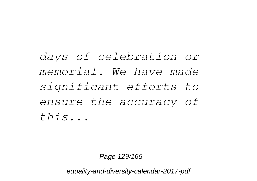*days of celebration or memorial. We have made significant efforts to ensure the accuracy of this...*

Page 129/165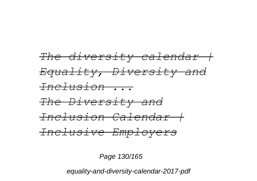

Page 130/165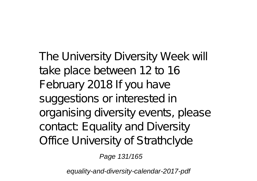The University Diversity Week will take place between 12 to 16 February 2018 If you have suggestions or interested in organising diversity events, please contact: Equality and Diversity Office University of Strathclyde

Page 131/165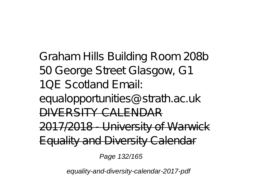Graham Hills Building Room 208b 50 George Street Glasgow, G1 1QE Scotland Email:

equalopportunities@strath.ac.uk DIVERSITY CALENDAR

2017/2018 - University of Warwick

Equality and Diversity Calendar

Page 132/165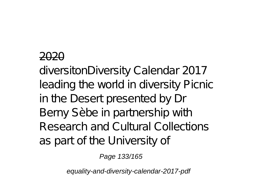### 2020

diversitonDiversity Calendar 2017 leading the world in diversity Picnic in the Desert presented by Dr Berny Sèbe in partnership with Research and Cultural Collections as part of the University of

Page 133/165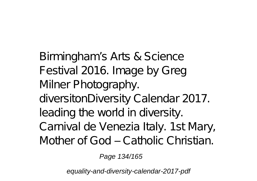Birmingham's Arts & Science Festival 2016. Image by Greg Milner Photography. diversitonDiversity Calendar 2017. leading the world in diversity. Carnival de Venezia Italy. 1st Mary, Mother of God – Catholic Christian.

Page 134/165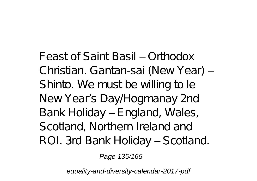Feast of Saint Basil – Orthodox Christian. Gantan-sai (New Year) – Shinto. We must be willing to le New Year's Day/Hogmanay 2nd Bank Holiday – England, Wales, Scotland, Northern Ireland and ROI. 3rd Bank Holiday – Scotland.

Page 135/165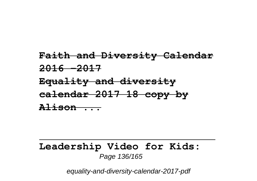### **Faith and Diversity Calendar 2016 –2017 Equality and diversity calendar 2017 18 copy by Alison ...**

#### **Leadership Video for Kids:** Page 136/165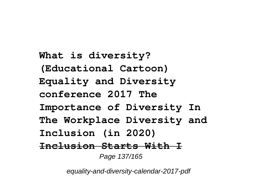**What is diversity? (Educational Cartoon) Equality and Diversity conference 2017 The Importance of Diversity In The Workplace Diversity and Inclusion (in 2020) Inclusion Starts With I** Page 137/165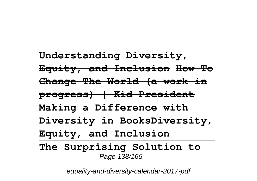**Understanding Diversity, Equity, and Inclusion How To Change The World (a work in progress) | Kid President Making a Difference with Diversity in BooksDiversity, Equity, and Inclusion The Surprising Solution to** Page 138/165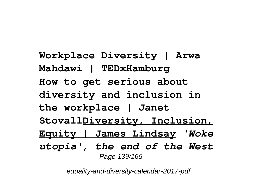**Workplace Diversity | Arwa Mahdawi | TEDxHamburg How to get serious about diversity and inclusion in the workplace | Janet StovallDiversity, Inclusion, Equity | James Lindsay** *'Woke utopia', the end of the West* Page 139/165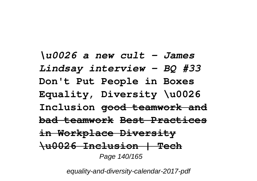*\u0026 a new cult - James Lindsay interview - BQ #33* **Don't Put People in Boxes Equality, Diversity \u0026 Inclusion good teamwork and bad teamwork Best Practices in Workplace Diversity \u0026 Inclusion | Tech** Page 140/165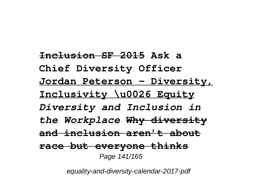**Inclusion SF 2015 Ask a Chief Diversity Officer Jordan Peterson - Diversity, Inclusivity \u0026 Equity** *Diversity and Inclusion in the Workplace* **Why diversity and inclusion aren't about race but everyone thinks** Page 141/165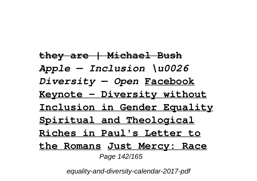**they are | Michael Bush** *Apple — Inclusion \u0026 Diversity — Open* **Facebook Keynote - Diversity without Inclusion in Gender Equality Spiritual and Theological Riches in Paul's Letter to the Romans Just Mercy: Race** Page 142/165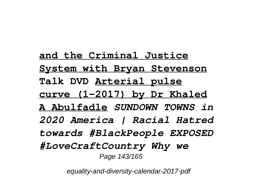**and the Criminal Justice System with Bryan Stevenson Talk DVD Arterial pulse curve (1-2017) by Dr Khaled A Abulfadle** *SUNDOWN TOWNS in 2020 America | Racial Hatred towards #BlackPeople EXPOSED #LoveCraftCountry Why we* Page 143/165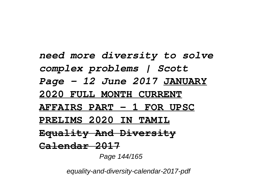*need more diversity to solve complex problems | Scott Page - 12 June 2017* **JANUARY 2020 FULL MONTH CURRENT AFFAIRS PART - 1 FOR UPSC PRELIMS 2020 IN TAMIL Equality And Diversity Calendar 2017** Page 144/165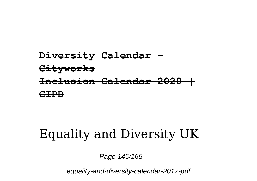### **Diversity Calendar - Cityworks Inclusion Calendar 2020 | CIPD**

## Equality and Diversity UK

Page 145/165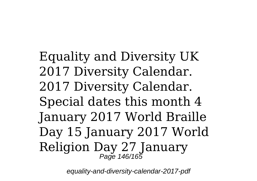Equality and Diversity UK 2017 Diversity Calendar. 2017 Diversity Calendar. Special dates this month 4 January 2017 World Braille Day 15 January 2017 World Religion Day 27 January Page 146/165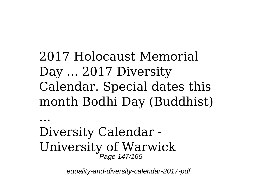# 2017 Holocaust Memorial Day ... 2017 Diversity Calendar. Special dates this month Bodhi Day (Buddhist)

...

Diversity Calendar - University of Warwick Page 147/165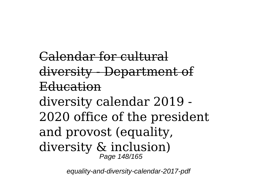Calendar for cultural diversity - Department of Education diversity calendar 2019 - 2020 office of the president and provost (equality, diversity & inclusion) Page 148/165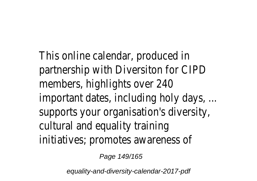This online calendar, produ partnership with Diversiton for  $m$ embers, highlights over important dates, including holy supports your organisation's diversioncultural and equality training initiatives; promotes aware

Page 149/165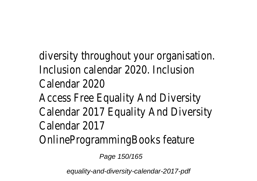diversity throughout your organisation. Inclusion calendar 2020. Inclusion Calendar 20 Access Free Equality And D Calendar 2017 Equality And D Calendar 20 OnlineProgrammingBooks f

Page 150/165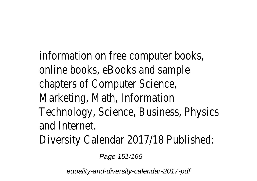information on free compute online books, eBooks and chapters of Computer So Marketing, Math, Inform Technology, Science, Business, and Intern Diversity Calendar 2017/18 Pu

Page 151/165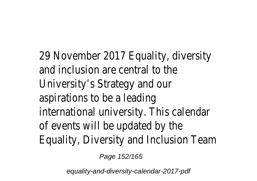29 November 2017 Equality, and inclusion are central University's Strategy and aspirations to be a lea international university. This only of events will be updated Equality, Diversity and Inclusion

Page 152/165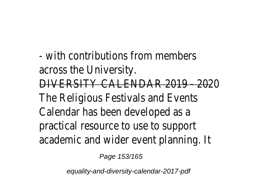$-$  with contributions from m across the Univer <u>'ERSITY CALENDAR 2019</u> The Religious Festivals and Calendar has been develope practical resource to use to academic and wider event plan

Page 153/165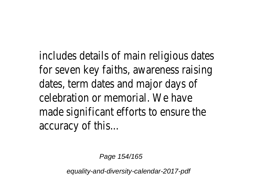includes details of main religious for seven key faiths, awarenes dates, term dates and major celebration or memorial. W made significant efforts to enst accuracy of the

Page 154/165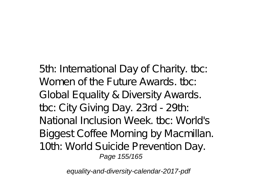5th: International Day of Charity. tbc: Women of the Future Awards, the Global Equality & Diversity Awards. tbc: City Giving Day. 23rd - 29th: National Inclusion Week. tbc: World's Biggest Coffee Morning by Macmillan. 10th: World Suicide Prevention Day. Page 155/165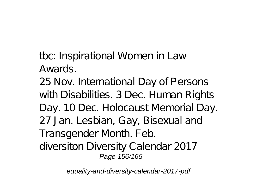tbc: Inspirational Women in Law Awards.

25 Nov. International Day of Persons with Disabilities. 3 Dec. Human Rights Day. 10 Dec. Holocaust Memorial Day. 27 Jan. Lesbian, Gay, Bisexual and Transgender Month. Feb. diversiton Diversity Calendar 2017 Page 156/165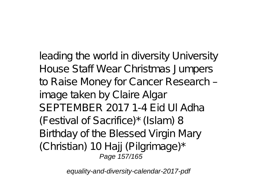leading the world in diversity University House Staff Wear Christmas Jumpers to Raise Money for Cancer Research – image taken by Claire Algar SEPTEMBER 2017 1-4 Eid Ul Adha (Festival of Sacrifice)\* (Islam) 8 Birthday of the Blessed Virgin Mary (Christian) 10 Hajj (Pilgrimage)\* Page 157/165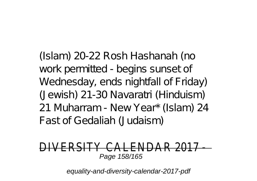(Islam) 20-22 Rosh Hashanah (no work permitted - begins sunset of Wednesday, ends nightfall of Friday) (Jewish) 21-30 Navaratri (Hinduism) 21 Muharram - New Year\* (Islam) 24 Fast of Gedaliah (Judaism)

#### DCITV\_CALENDI Page 158/165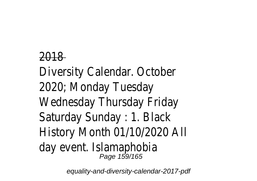## 2018 Diversity Calendar. October 2020; Monday Tuesday Wednesday Thursday Friday Saturday Sunday : 1. Black History Month 01/10/2020 All day event. Islamaphobia Page 159/165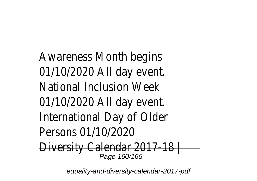Awareness Month begins 01/10/2020 All day event. National Inclusion Week 01/10/2020 All day event. International Day of Older Persons 01/10/2020 Diversity Calendar 2017-18 | Page 160/165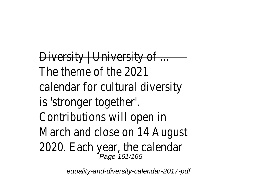Diversity | University of ... -The theme of the 2021 calendar for cultural diversity is 'stronger together'. Contributions will open in March and close on 14 August 2020. Each year, the call  $P_{\text{age 161/165}}$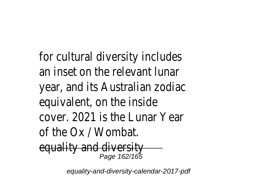for cultural diversity includes an inset on the relevant lunar year, and its Australian zodiac equivalent, on the inside cover. 2021 is the Lunar Year of the Ox / Wombat. equality and diversity Page 162/165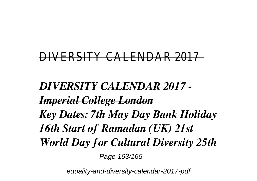### DIVERSITY CALENDAR 2017

*DIVERSITY CALENDAR 2017 - Imperial College London Key Dates: 7th May Day Bank Holiday 16th Start of Ramadan (UK) 21st World Day for Cultural Diversity 25th* Page 163/165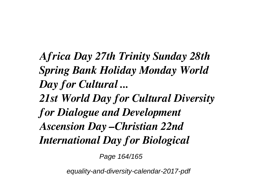*Africa Day 27th Trinity Sunday 28th Spring Bank Holiday Monday World Day for Cultural ...*

*21st World Day for Cultural Diversity for Dialogue and Development Ascension Day –Christian 22nd International Day for Biological*

Page 164/165